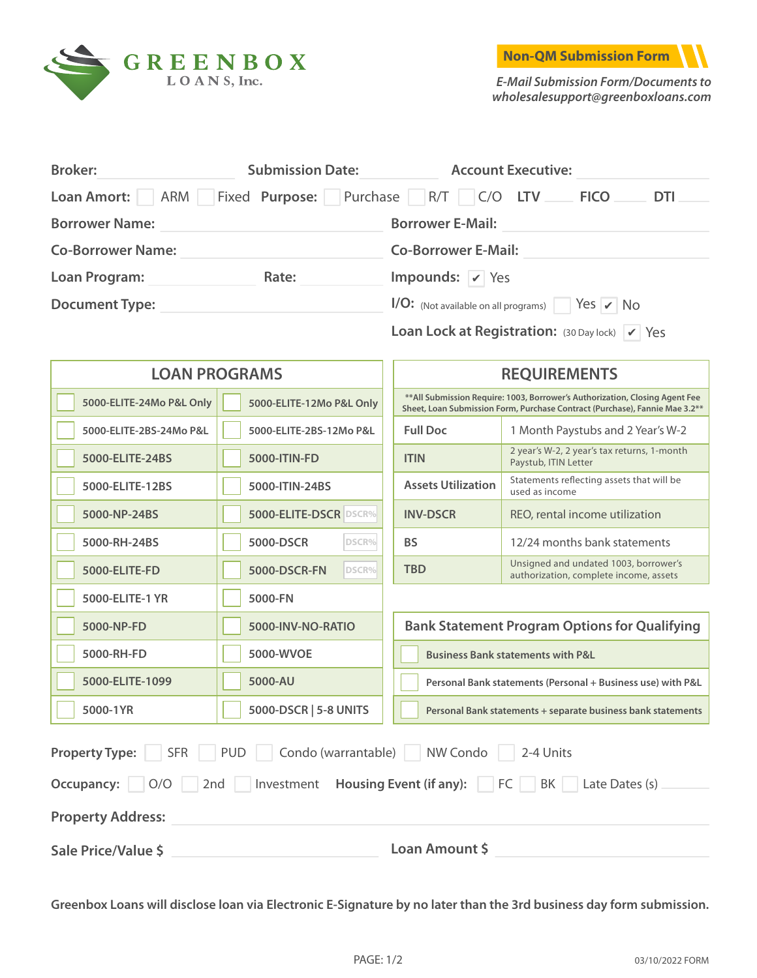



*E-Mail Submission Form/Documents to [wholesalesupport@greenboxloans.com](Mailto:wholesalesupport@greenboxloans.com)*

| <b>Broker:</b>            | <b>Submission Date:</b> | <b>Account Executive:</b>                                                   |
|---------------------------|-------------------------|-----------------------------------------------------------------------------|
| ARM<br><b>Loan Amort:</b> |                         | Fixed Purpose: Purchase R/T C/O LTV<br><b>FICO</b><br><b>DTI</b>            |
| <b>Borrower Name:</b>     |                         | <b>Borrower E-Mail:</b>                                                     |
| <b>Co-Borrower Name:</b>  |                         | <b>Co-Borrower E-Mail:</b>                                                  |
| <b>Loan Program:</b>      | Rate:                   | Impounds: $\sqrt{ }$ Yes                                                    |
| <b>Document Type:</b>     |                         | $1/O:$ (Not available on all programs) $\sqrt{1 + 1}$ Yes $\sqrt{1 + 1}$ No |
|                           |                         | Loan Lock at Registration: (30 Day lock) V Yes                              |

| <b>LOAN PROGRAMS</b>                                                                                                                                                                                               |                          | <b>REQUIREMENTS</b>                                                                                                                                         |                                                                                 |  |  |
|--------------------------------------------------------------------------------------------------------------------------------------------------------------------------------------------------------------------|--------------------------|-------------------------------------------------------------------------------------------------------------------------------------------------------------|---------------------------------------------------------------------------------|--|--|
| 5000-ELITE-24Mo P&L Only                                                                                                                                                                                           | 5000-ELITE-12Mo P&L Only | ** All Submission Require: 1003, Borrower's Authorization, Closing Agent Fee<br>Sheet, Loan Submission Form, Purchase Contract (Purchase), Fannie Mae 3.2** |                                                                                 |  |  |
| 5000-ELITE-2BS-24Mo P&L                                                                                                                                                                                            | 5000-ELITE-2BS-12Mo P&L  | <b>Full Doc</b>                                                                                                                                             | 1 Month Paystubs and 2 Year's W-2                                               |  |  |
| 5000-ELITE-24BS                                                                                                                                                                                                    | 5000-ITIN-FD             | <b>ITIN</b>                                                                                                                                                 | 2 year's W-2, 2 year's tax returns, 1-month<br>Paystub, ITIN Letter             |  |  |
| 5000-ELITE-12BS                                                                                                                                                                                                    | 5000-ITIN-24BS           | <b>Assets Utilization</b>                                                                                                                                   | Statements reflecting assets that will be<br>used as income                     |  |  |
| 5000-NP-24BS                                                                                                                                                                                                       | 5000-ELITE-DSCR DSCR%    | <b>INV-DSCR</b>                                                                                                                                             | REO, rental income utilization                                                  |  |  |
| 5000-RH-24BS                                                                                                                                                                                                       | 5000-DSCR<br>DSCR%       | <b>BS</b>                                                                                                                                                   | 12/24 months bank statements                                                    |  |  |
| 5000-ELITE-FD                                                                                                                                                                                                      | 5000-DSCR-FN<br>DSCR%    | <b>TBD</b>                                                                                                                                                  | Unsigned and undated 1003, borrower's<br>authorization, complete income, assets |  |  |
| 5000-ELITE-1 YR                                                                                                                                                                                                    | 5000-FN                  |                                                                                                                                                             |                                                                                 |  |  |
| 5000-NP-FD                                                                                                                                                                                                         | 5000-INV-NO-RATIO        |                                                                                                                                                             | <b>Bank Statement Program Options for Qualifying</b>                            |  |  |
| 5000-RH-FD                                                                                                                                                                                                         | 5000-WVOE                | <b>Business Bank statements with P&amp;L</b>                                                                                                                |                                                                                 |  |  |
| 5000-ELITE-1099                                                                                                                                                                                                    | 5000-AU                  | Personal Bank statements (Personal + Business use) with P&L                                                                                                 |                                                                                 |  |  |
| 5000-1YR                                                                                                                                                                                                           | 5000-DSCR   5-8 UNITS    | Personal Bank statements + separate business bank statements                                                                                                |                                                                                 |  |  |
| PUD<br>Condo (warrantable)<br>NW Condo<br><b>Property Type:</b><br><b>SFR</b><br>2-4 Units<br>Investment Housing Event (if any): FC  <br>O/O<br>2nd<br>BK Late Dates (s)<br>Occupancy:<br><b>Property Address:</b> |                          |                                                                                                                                                             |                                                                                 |  |  |
| Sale Price/Value \$                                                                                                                                                                                                |                          | Loan Amount \$                                                                                                                                              |                                                                                 |  |  |

**Greenbox Loans will disclose loan via Electronic E-Signature by no later than the 3rd business day form submission.**